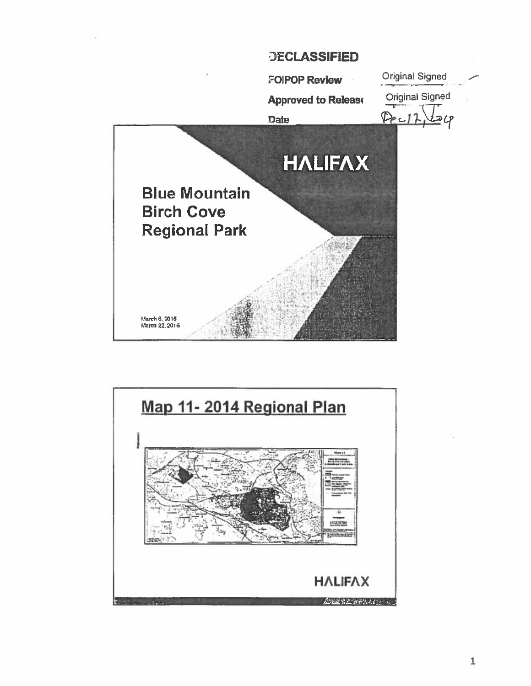

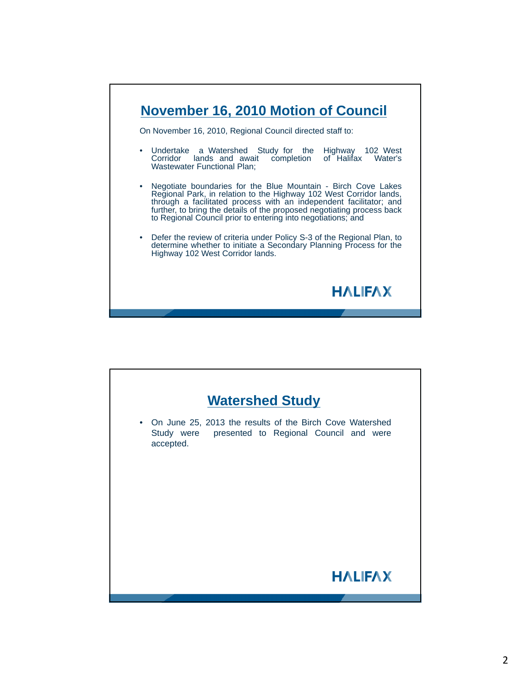

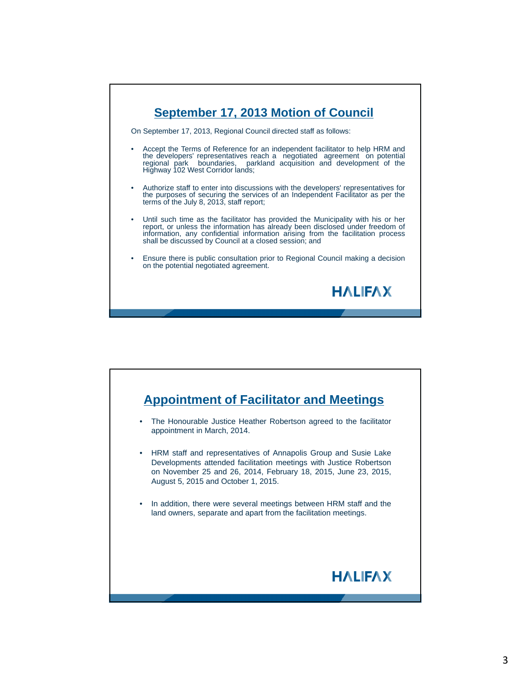

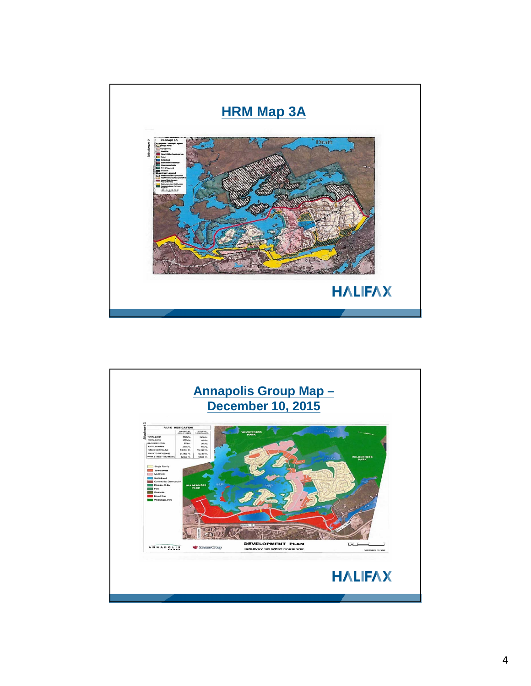

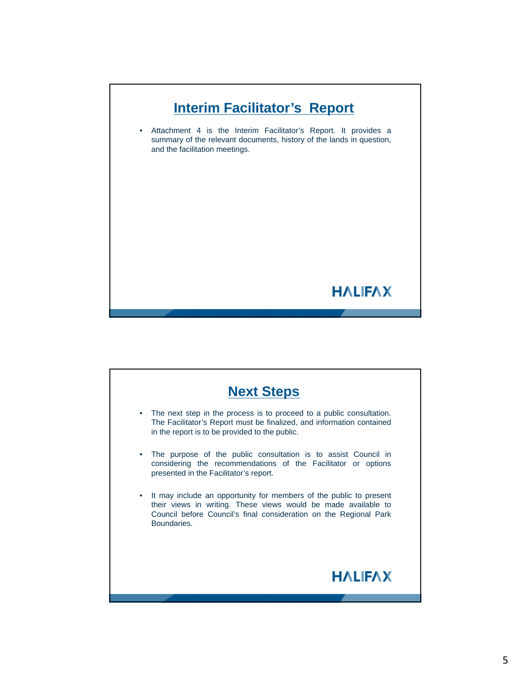